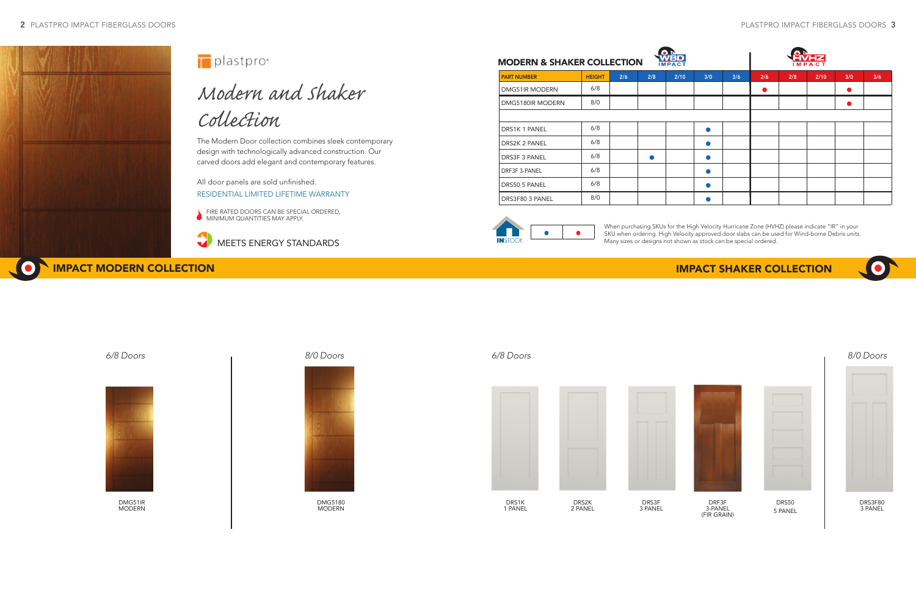

# *Modern and Shaker Collection*

The Modern Door collection combines sleek contemporary design with technologically advanced construction. Our carved doors add elegant and contemporary features.

All door panels are sold unfinished. RESIDENTIAL LIMITED LIFETIME WARRANTY

**FIRE RATED DOORS CAN BE SPECIAL ORDERED, MINIMUM QUANTITIES MAY APPLY.** 





## IMPACT MODERN COLLECTION IMPACT SHAKER COLLECTION

DMG51IR MODERN



DRF3F 3-PANEL (FIR GRAIN)

| í<br>              |  |
|--------------------|--|
| ı<br>۰<br> <br>ı   |  |
| ________<br>ı<br>۰ |  |
| ı                  |  |
| I<br>ı             |  |



DRS50 5 PANEL



DRS3F80 3 PANEL

| <b>MODERN &amp; SHAKER COLLECTION</b> |               |     |     | $T$ - $Z$<br><b>IMPACT</b> |     |     |     |     |      |     |     |
|---------------------------------------|---------------|-----|-----|----------------------------|-----|-----|-----|-----|------|-----|-----|
| <b>PART NUMBER</b>                    | <b>HEIGHT</b> | 2/6 | 2/8 | 2/10                       | 3/0 | 3/6 | 2/6 | 2/8 | 2/10 | 3/0 | 3/6 |
| DMG51IR MODERN                        | 6/8           |     |     |                            |     |     | o   |     |      | o   |     |
| DMG5180IR MODERN                      | 8/0           |     |     |                            |     |     |     |     |      |     |     |
|                                       |               |     |     |                            |     |     |     |     |      |     |     |
| <b>DRS1K1 PANEL</b>                   | 6/8           |     |     |                            |     |     |     |     |      |     |     |
| DRS2K 2 PANEL                         | 6/8           |     |     |                            |     |     |     |     |      |     |     |
| <b>DRS3F 3 PANEL</b>                  | 6/8           |     |     |                            |     |     |     |     |      |     |     |
| DRF3F 3-PANEL                         | 6/8           |     |     |                            |     |     |     |     |      |     |     |
| DRS50 5 PANEL                         | 6/8           |     |     |                            |     |     |     |     |      |     |     |
| DRS3F80 3 PANEL                       | 8/0           |     |     |                            |     |     |     |     |      |     |     |







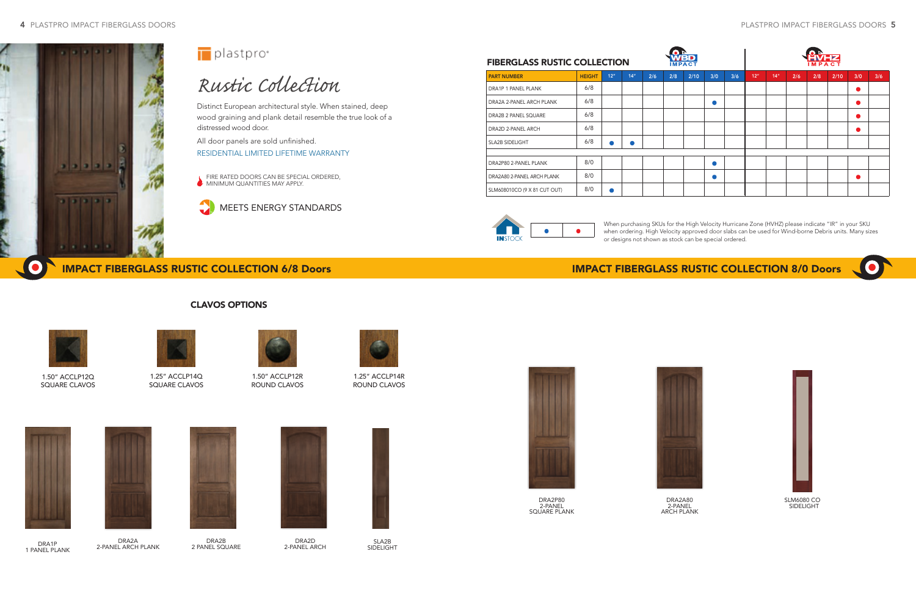

# *Rustic Collection*

 FIRE RATED DOORS CAN BE SPECIAL ORDERED, **MINIMUM QUANTITIES MAY APPLY.** 

Distinct European architectural style. When stained, deep wood graining and plank detail resemble the true look of a distressed wood door.

All door panels are sold unfinished. RESIDENTIAL LIMITED LIFETIME WARRANTY

DRA2D 2-PANEL ARCH



SLA2B **SIDELIGHT** 

### IMPACT FIBERGLASS RUSTIC COLLECTION 6/8 Doors IMPACT FIBERGLASS RUSTIC COLLECTION 8/0 Doors



CLAVOS OPTIONS

DRA2A80 2-PANEL ARCH PLANK



2-PANEL SQUARE PLANK





DRA2A 2-PANEL ARCH PLANK





DRA1P 1 PANEL PLANK

DRA2B 2 PANEL SQUARE When purchasing SKUs for the High Velocity Hurricane Zone (HVHZ) please indicate "IR" in your SKU when ordering. High Velocity approved door slabs can be used for Wind-borne Debris units. Many sizes or designs not shown as stock can be special ordered.

|                              | <b>TED</b><br><b>FIBERGLASS RUSTIC COLLECTION</b><br><b>IMPACT</b> |           |     |     |     |      |     |     |     | IMPACT           |     |     |      |     |     |  |  |  |
|------------------------------|--------------------------------------------------------------------|-----------|-----|-----|-----|------|-----|-----|-----|------------------|-----|-----|------|-----|-----|--|--|--|
| <b>PART NUMBER</b>           | <b>HEIGHT</b>                                                      | 12"       | 14" | 2/6 | 2/8 | 2/10 | 3/0 | 3/6 | 12" | 14 <sup>''</sup> | 2/6 | 2/8 | 2/10 | 3/0 | 3/6 |  |  |  |
| DRA1P 1 PANEL PLANK          | 6/8                                                                |           |     |     |     |      |     |     |     |                  |     |     |      | c   |     |  |  |  |
| DRA2A 2-PANEL ARCH PLANK     | 6/8                                                                |           |     |     |     |      |     |     |     |                  |     |     |      |     |     |  |  |  |
| DRA2B 2 PANEL SQUARE         | 6/8                                                                |           |     |     |     |      |     |     |     |                  |     |     |      |     |     |  |  |  |
| DRA2D 2-PANEL ARCH           | 6/8                                                                |           |     |     |     |      |     |     |     |                  |     |     |      |     |     |  |  |  |
| <b>SLA2B SIDELIGHT</b>       | 6/8                                                                | $\bullet$ |     |     |     |      |     |     |     |                  |     |     |      |     |     |  |  |  |
|                              |                                                                    |           |     |     |     |      |     |     |     |                  |     |     |      |     |     |  |  |  |
| DRA2P80 2-PANEL PLANK        | 8/0                                                                |           |     |     |     |      |     |     |     |                  |     |     |      |     |     |  |  |  |
| DRA2A80 2-PANEL ARCH PLANK   | 8/0                                                                |           |     |     |     |      |     |     |     |                  |     |     |      |     |     |  |  |  |
| SLM608010CO (9 X 81 CUT OUT) | 8/0                                                                | $\bullet$ |     |     |     |      |     |     |     |                  |     |     |      |     |     |  |  |  |



![](_page_1_Picture_37.jpeg)

![](_page_1_Picture_9.jpeg)

![](_page_1_Figure_10.jpeg)

### FIBERGLASS RUSTIC COLLECTION

![](_page_1_Picture_13.jpeg)

1.50" ACCLP12Q SQUARE CLAVOS

![](_page_1_Picture_15.jpeg)

1.25" ACCLP14Q SQUARE CLAVOS

![](_page_1_Picture_17.jpeg)

1.50" ACCLP12R ROUND CLAVOS

![](_page_1_Picture_19.jpeg)

1.25" ACCLP14R ROUND CLAVOS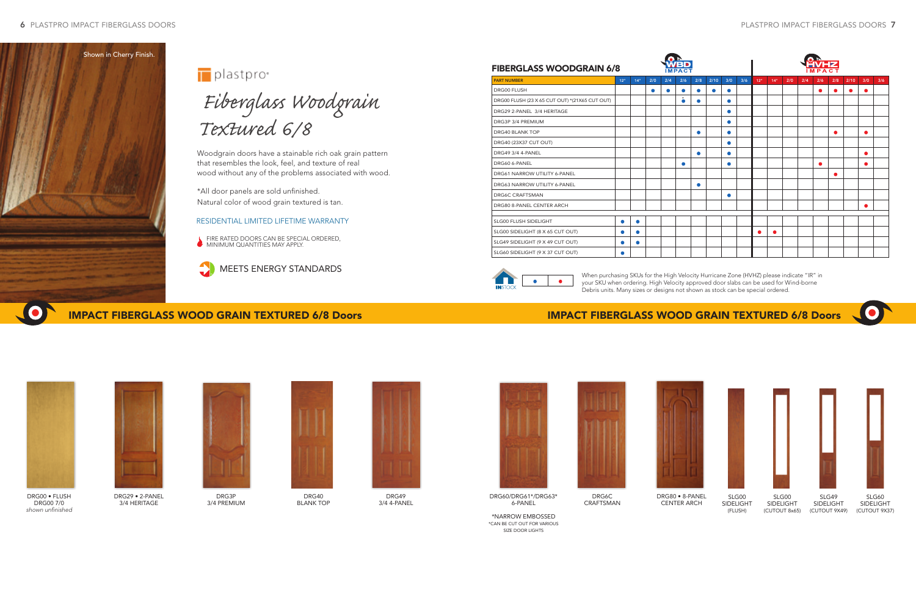![](_page_2_Picture_25.jpeg)

DRG60/DRG61\*/DRG63\* 6-PANEL

\*NARROW EMBOSSED \*CAN BE CUT OUT FOR VARIOUS SIZE DOOR LIGHTS

![](_page_2_Picture_27.jpeg)

![](_page_2_Picture_1.jpeg)

plastpro<sup>®</sup>

 *Fiberglass Woodgrain Textured 6/8*

 FIRE RATED DOORS CAN BE SPECIAL ORDERED, MINIMUM QUANTITIES MAY APPLY.

Woodgrain doors have a stainable rich oak grain pattern that resembles the look, feel, and texture of real wood without any of the problems associated with wood.

\*All door panels are sold unfinished. Natural color of wood grain textured is tan.

### IMPACT FIBERGLASS WOOD GRAIN TEXTURED 6/8 Doors IMPACT FIBERGLASS WOOD GRAIN TEXTURED 6/8 Doors

### RESIDENTIAL LIMITED LIFETIME WARRANTY

![](_page_2_Picture_17.jpeg)

DRG29 • 2-PANEL 3/4 HERITAGE

![](_page_2_Picture_19.jpeg)

DRG3P 3/4 PREMIUM

DRG6C CRAFTSMAN

![](_page_2_Picture_28.jpeg)

![](_page_2_Picture_31.jpeg)

![](_page_2_Picture_32.jpeg)

DRG80 • 8-PANEL CENTER ARCH

![](_page_2_Picture_23.jpeg)

DRG49 3/4 4-PANEL

![](_page_2_Picture_21.jpeg)

DRG40 BLANK TOP

![](_page_2_Picture_34.jpeg)

SLG00 SIDELIGHT (FLUSH)

![](_page_2_Picture_36.jpeg)

SLG00 SIDELIGHT (CUTOUT 8x65)

![](_page_2_Picture_38.jpeg)

SLG49 SIDELIGHT (CUTOUT 9X49)

![](_page_2_Picture_40.jpeg)

SLG60 SIDELIGHT (CUTOUT 9X37)

![](_page_2_Picture_15.jpeg)

DRG00 • FLUSH DRG00 7/0 shown unfinished

![](_page_2_Picture_8.jpeg)

|                                                | <b>FIBERGLASS WOODGRAIN 6/8</b><br>12 <sup>n</sup><br>14 <sup>th</sup><br>2/0<br>2/4<br>2/6<br>2/8<br>2/10<br>3/0<br>3/6 |           |           |           |           |           |           |                 |                  |           |     |     |     |      |           |     |           |  |
|------------------------------------------------|--------------------------------------------------------------------------------------------------------------------------|-----------|-----------|-----------|-----------|-----------|-----------|-----------------|------------------|-----------|-----|-----|-----|------|-----------|-----|-----------|--|
| <b>PART NUMBER</b>                             |                                                                                                                          |           |           |           |           |           |           | 12 <sup>n</sup> | 14 <sup>''</sup> | 2/0       | 2/4 | 2/6 | 2/8 | 2/10 | 3/0       | 3/6 |           |  |
| <b>DRG00 FLUSH</b>                             |                                                                                                                          |           | $\bullet$ | $\bullet$ | $\bullet$ |           | $\bullet$ | $\bullet$       |                  |           |     |     |     |      |           |     | $\bullet$ |  |
| DRG00 FLUSH (23 X 65 CUT OUT) *(21X65 CUT OUT) |                                                                                                                          |           |           |           | ò         |           |           | $\bullet$       |                  |           |     |     |     |      |           |     |           |  |
| DRG29 2-PANEL 3/4 HERITAGE                     |                                                                                                                          |           |           |           |           |           |           | $\bullet$       |                  |           |     |     |     |      |           |     |           |  |
| DRG3P 3/4 PREMIUM                              |                                                                                                                          |           |           |           |           |           |           | $\bullet$       |                  |           |     |     |     |      |           |     |           |  |
| <b>DRG40 BLANK TOP</b>                         |                                                                                                                          |           |           |           |           |           |           |                 |                  |           |     |     |     |      |           |     |           |  |
| DRG40 (23X37 CUT OUT)                          |                                                                                                                          |           |           |           |           |           |           |                 |                  |           |     |     |     |      |           |     |           |  |
| DRG49 3/4 4-PANEL                              |                                                                                                                          |           |           |           |           | ●         |           | $\bullet$       |                  |           |     |     |     |      |           |     | $\bullet$ |  |
| DRG60 6-PANEL                                  |                                                                                                                          |           |           |           | ۰         |           |           |                 |                  |           |     |     |     |      |           |     | ٠         |  |
| DRG61 NARROW UTILITY 6-PANEL                   |                                                                                                                          |           |           |           |           |           |           |                 |                  |           |     |     |     |      | $\bullet$ |     |           |  |
| DRG63 NARROW UTILITY 6-PANEL                   |                                                                                                                          |           |           |           |           | $\bullet$ |           |                 |                  |           |     |     |     |      |           |     |           |  |
| <b>DRG6C CRAFTSMAN</b>                         |                                                                                                                          |           |           |           |           |           |           | $\bullet$       |                  |           |     |     |     |      |           |     |           |  |
| DRG80 8-PANEL CENTER ARCH                      |                                                                                                                          |           |           |           |           |           |           |                 |                  |           |     |     |     |      |           |     | $\bullet$ |  |
|                                                |                                                                                                                          |           |           |           |           |           |           |                 |                  |           |     |     |     |      |           |     |           |  |
| SLG00 FLUSH SIDELIGHT                          | $\bullet$                                                                                                                | $\bullet$ |           |           |           |           |           |                 |                  |           |     |     |     |      |           |     |           |  |
| SLG00 SIDELIGHT (8 X 65 CUT OUT)               | $\bullet$                                                                                                                |           |           |           |           |           |           |                 |                  | $\bullet$ | ●   |     |     |      |           |     |           |  |
| SLG49 SIDELIGHT (9 X 49 CUT OUT)               |                                                                                                                          |           |           |           |           |           |           |                 |                  |           |     |     |     |      |           |     |           |  |
| SLG60 SIDELIGHT (9 X 37 CUT OUT)               | $\bullet$                                                                                                                |           |           |           |           |           |           |                 |                  |           |     |     |     |      |           |     |           |  |

![](_page_2_Picture_12.jpeg)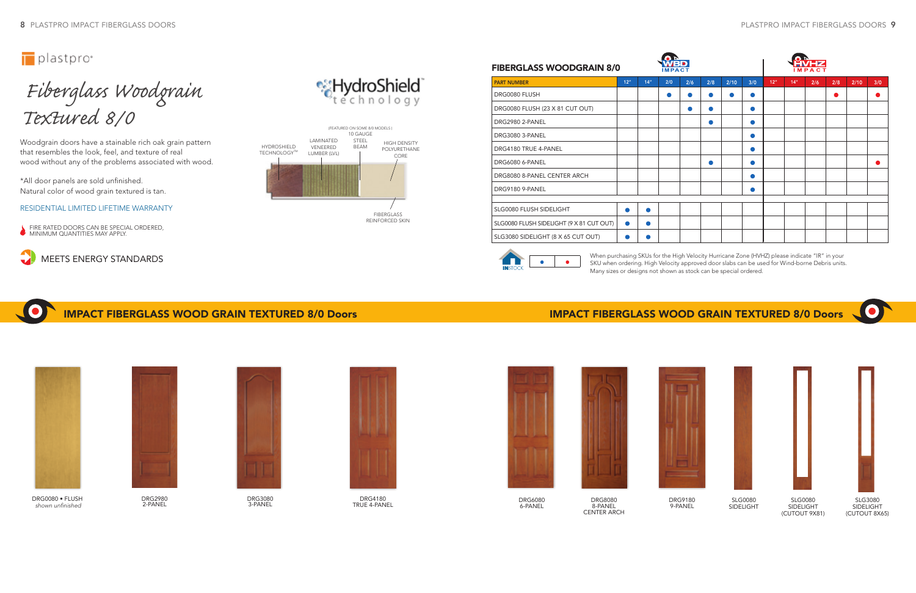*Fiberglass Woodgrain Textured 8/0*

Woodgrain doors have a stainable rich oak grain pattern that resembles the look, feel, and texture of real wood without any of the problems associated with wood.

\*All door panels are sold unfinished. Natural color of wood grain textured is tan.

## IMPACT FIBERGLASS WOOD GRAIN TEXTURED 8/0 Doors IMPACT FIBERGLASS WOOD GRAIN TEXTURED 8/0 Doors

### RESIDENTIAL LIMITED LIFETIME WARRANTY

**FIRE RATED DOORS CAN BE SPECIAL ORDERED, MINIMUM QUANTITIES MAY APPLY.** 

![](_page_3_Picture_33.jpeg)

SLG0080 SIDELIGHT

![](_page_3_Picture_35.jpeg)

SLG0080 **SIDELIGHT** (CUTOUT 9X81)

![](_page_3_Picture_37.jpeg)

SLG3080 SIDELIGHT (CUTOUT 8X65)

![](_page_3_Picture_19.jpeg)

DRG3080 3-PANEL

![](_page_3_Picture_17.jpeg)

DRG2980 2-PANEL

![](_page_3_Picture_21.jpeg)

DRG4180 TRUE 4-PANEL

![](_page_3_Picture_23.jpeg)

DRG6080 6-PANEL

![](_page_3_Picture_24.jpeg)

DRG0080 • FLUSH shown unfinished

DRG8080 8-PANEL CENTER ARCH

![](_page_3_Figure_30.jpeg)

![](_page_3_Picture_31.jpeg)

DRG9180 9-PANEL

# MEETS ENERGY STANDARDS

![](_page_3_Figure_8.jpeg)

| <b>FIBERGLASS WOODGRAIN 8/0</b>          |                 |     |     |     |                |      |     |     |      |     |     |      |     |
|------------------------------------------|-----------------|-----|-----|-----|----------------|------|-----|-----|------|-----|-----|------|-----|
| <b>PART NUMBER</b>                       | 12 <sup>n</sup> | 14" | 2/0 | 2/6 | 2/8            | 2/10 | 3/0 | 12" | 14'' | 2/6 | 2/8 | 2/10 | 3/0 |
| DRG0080 FLUSH                            |                 |     | ●   | æ   |                |      |     |     |      |     | œ   |      |     |
| DRG0080 FLUSH (23 X 81 CUT OUT)          |                 |     |     | ●   |                |      | D   |     |      |     |     |      |     |
| DRG2980 2-PANEL                          |                 |     |     |     | $\blacksquare$ |      | m   |     |      |     |     |      |     |
| DRG3080 3-PANEL                          |                 |     |     |     |                |      |     |     |      |     |     |      |     |
| DRG4180 TRUE 4-PANEL                     |                 |     |     |     |                |      | m   |     |      |     |     |      |     |
| <b>DRG6080 6-PANEL</b>                   |                 |     |     |     | ●              |      | n   |     |      |     |     |      |     |
| DRG8080 8-PANEL CENTER ARCH              |                 |     |     |     |                |      | m   |     |      |     |     |      |     |
| DRG9180 9-PANEL                          |                 |     |     |     |                |      |     |     |      |     |     |      |     |
|                                          |                 |     |     |     |                |      |     |     |      |     |     |      |     |
| SLG0080 FLUSH SIDELIGHT                  | Ο               |     |     |     |                |      |     |     |      |     |     |      |     |
| SLG0080 FLUSH SIDELIGHT (9 X 81 CUT OUT) | $\bullet$       |     |     |     |                |      |     |     |      |     |     |      |     |
| SLG3080 SIDELIGHT (8 X 65 CUT OUT)       |                 |     |     |     |                |      |     |     |      |     |     |      |     |

![](_page_3_Figure_9.jpeg)

![](_page_3_Figure_12.jpeg)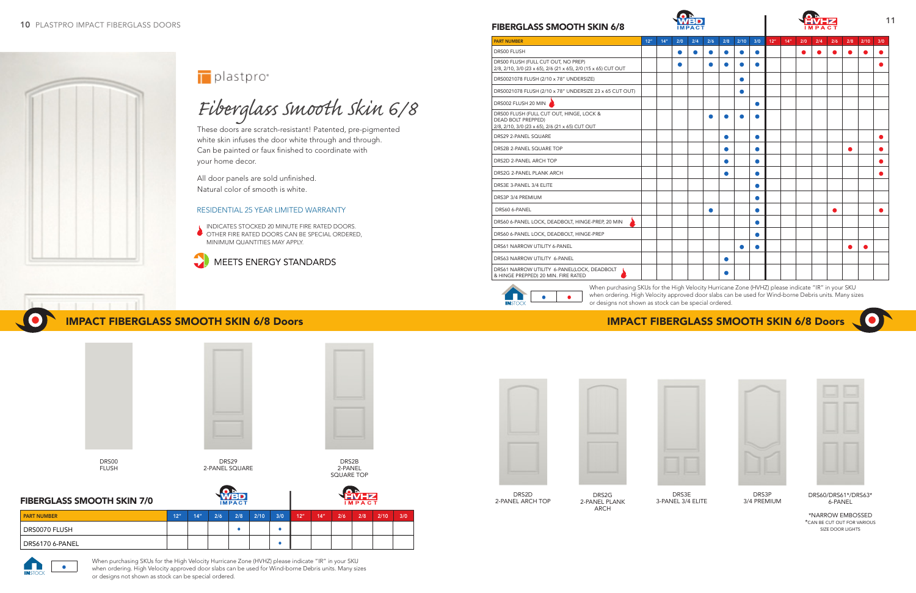![](_page_4_Picture_20.jpeg)

2-PANEL ARCH TOP

![](_page_4_Picture_21.jpeg)

![](_page_4_Picture_30.jpeg)

DRS3E 3-PANEL 3/4 ELITE

![](_page_4_Picture_32.jpeg)

DRS3P 3/4 PREMIUM

![](_page_4_Picture_34.jpeg)

DRS2G 2-PANEL PLANK ARCH

| <b>PART NUMBER</b> | 12 <sup>n</sup> | 14" | 2/6 | 2/8 | 2/10 | 3/0 | 12" | 14" | 2/6 | 2/8 | 2/10 | 3/0 |
|--------------------|-----------------|-----|-----|-----|------|-----|-----|-----|-----|-----|------|-----|
| DRS0070 FLUSH      |                 |     |     |     |      |     |     |     |     |     |      |     |
| DRS6170 6-PANEL    |                 |     |     |     |      |     |     |     |     |     |      |     |

### FIBERGLASS SMOOTH SKIN 7/0

# *Fiberglass Smooth Skin 6/8*

These doors are scratch-resistant! Patented, pre-pigmented white skin infuses the door white through and through. Can be painted or faux finished to coordinate with your home decor.

INDICATES STOCKED 20 MINUTE FIRE RATED DOORS. OTHER FIRE RATED DOORS CAN BE SPECIAL ORDERED, MINIMUM QUANTITIES MAY APPLY.

![](_page_4_Picture_9.jpeg)

### IMPACT FIBERGLASS SMOOTH SKIN 6/8 Doors IMPACT FIBERGLASS SMOOTH SKIN 6/8 Doors

DRS00 FLUSH

![](_page_4_Picture_16.jpeg)

DRS2B 2-PANEL SQUARE TOP

All door panels are sold unfinished. Natural color of smooth is white.

### RESIDENTIAL 25 YEAR LIMITED WARRANTY

DRS29 2-PANEL SQUARE

| <b>PART NUMBER</b>                                                                                                       | 12 <sup>n</sup> | 14 <sup>′′</sup> | 2/0       | 2/4       | 2/6 | 2/8            | 2/10      | 3/0 | 12 <sup>n</sup> | 14'' | 2/0       | 2/4 | 2/6       | 2/8 | 2/10 | 3/0 |
|--------------------------------------------------------------------------------------------------------------------------|-----------------|------------------|-----------|-----------|-----|----------------|-----------|-----|-----------------|------|-----------|-----|-----------|-----|------|-----|
| <b>DRS00 FLUSH</b>                                                                                                       |                 |                  | $\bullet$ | $\bullet$ | ●   | $\bullet$      |           | Ο   |                 |      | $\bullet$ | ●   | $\bullet$ |     |      |     |
| DRS00 FLUSH (FULL CUT OUT, NO PREP)<br>2/8, 2/10, 3/0 (23 x 65), 2/6 (21 x 65), 2/0 (15 x 65) CUT OUT                    |                 |                  |           |           |     |                |           |     |                 |      |           |     |           |     |      |     |
| DRS0021078 FLUSH (2/10 x 78" UNDERSIZE)                                                                                  |                 |                  |           |           |     |                | $\bullet$ |     |                 |      |           |     |           |     |      |     |
| DRS0021078 FLUSH (2/10 x 78" UNDERSIZE 23 x 65 CUT OUT)                                                                  |                 |                  |           |           |     |                | $\bullet$ |     |                 |      |           |     |           |     |      |     |
| DRS002 FLUSH 20 MIN                                                                                                      |                 |                  |           |           |     |                |           | 0   |                 |      |           |     |           |     |      |     |
| DRS00 FLUSH (FULL CUT OUT, HINGE, LOCK &<br><b>DEAD BOLT PREPPED)</b><br>2/8, 2/10, 3/0 (23 x 65), 2/6 (21 x 65) CUT OUT |                 |                  |           |           |     |                |           |     |                 |      |           |     |           |     |      |     |
| DRS29 2-PANEL SQUARE                                                                                                     |                 |                  |           |           |     | ●              |           | О   |                 |      |           |     |           |     |      |     |
| DRS2B 2-PANEL SQUARE TOP                                                                                                 |                 |                  |           |           |     | o              |           | О   |                 |      |           |     |           |     |      |     |
| DRS2D 2-PANEL ARCH TOP                                                                                                   |                 |                  |           |           |     | $\blacksquare$ |           | r   |                 |      |           |     |           |     |      |     |
| DRS2G 2-PANEL PLANK ARCH                                                                                                 |                 |                  |           |           |     | $\bullet$      |           | О   |                 |      |           |     |           |     |      |     |
| DRS3E 3-PANEL 3/4 ELITE                                                                                                  |                 |                  |           |           |     |                |           | О   |                 |      |           |     |           |     |      |     |
| DRS3P 3/4 PREMIUM                                                                                                        |                 |                  |           |           |     |                |           | C   |                 |      |           |     |           |     |      |     |
| DRS60 6-PANEL                                                                                                            |                 |                  |           |           | O   |                |           | О   |                 |      |           |     |           |     |      |     |
| DRS60 6-PANEL LOCK, DEADBOLT, HINGE-PREP, 20 MIN                                                                         |                 |                  |           |           |     |                |           | О   |                 |      |           |     |           |     |      |     |
| DRS60 6-PANEL LOCK, DEADBOLT, HINGE-PREP                                                                                 |                 |                  |           |           |     |                |           | r   |                 |      |           |     |           |     |      |     |
| DRS61 NARROW UTILITY 6-PANEL                                                                                             |                 |                  |           |           |     |                |           |     |                 |      |           |     |           |     | œ    |     |
| DRS63 NARROW UTILITY 6-PANEL                                                                                             |                 |                  |           |           |     |                |           |     |                 |      |           |     |           |     |      |     |
| DRS61 NARROW UTILITY 6-PANEL(LOCK, DEADBOLT<br>& HINGE PREPPED) 20 MIN. FIRE RATED                                       |                 |                  |           |           |     |                |           |     |                 |      |           |     |           |     |      |     |

 $\bullet$   $\bullet$ 

![](_page_4_Picture_1.jpeg)

## plastpro<sup>®</sup>

DRS60/DRS61\*/DRS63\* 6-PANEL

\*NARROW EMBOSSED \*CAN BE CUT OUT FOR VARIOUS SIZE DOOR LIGHTS

When purchasing SKUs for the High Velocity Hurricane Zone (HVHZ) please indicate "IR" in your SKU when ordering. High Velocity approved door slabs can be used for Wind-borne Debris units. Many sizes or designs not shown as stock can be special ordered.

![](_page_4_Picture_27.jpeg)

![](_page_4_Picture_28.jpeg)

![](_page_4_Picture_25.jpeg)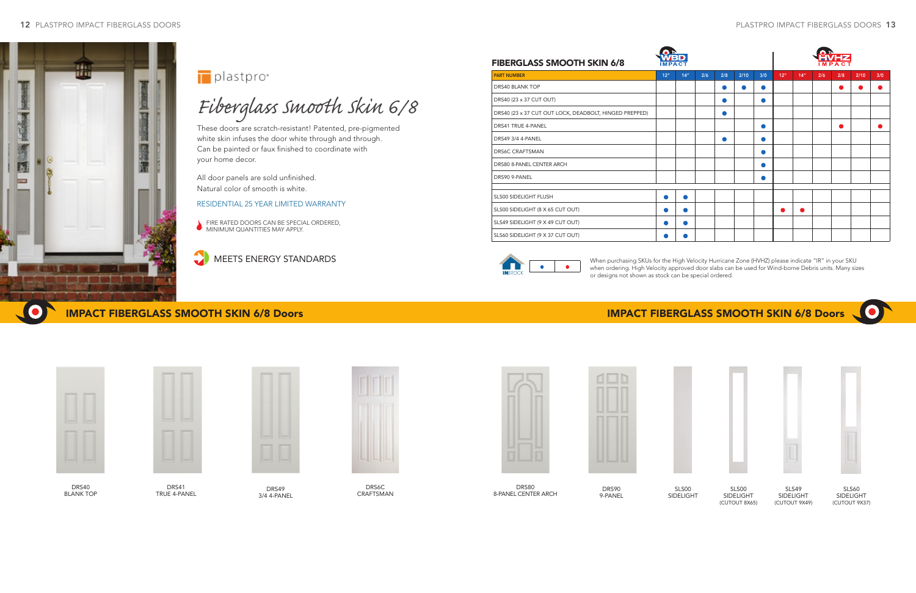![](_page_5_Picture_1.jpeg)

![](_page_5_Picture_28.jpeg)

![](_page_5_Picture_29.jpeg)

# *Fiberglass Smooth Skin 6/8*

These doors are scratch-resistant! Patented, pre-pigmented white skin infuses the door white through and through. Can be painted or faux finished to coordinate with your home decor.

## IMPACT FIBERGLASS SMOOTH SKIN 6/8 Doors IMPACT FIBERGLASS SMOOTH SKIN 6/8 Doors

![](_page_5_Picture_19.jpeg)

DRS49 3/4 4-PANEL

![](_page_5_Picture_30.jpeg)

SLS00 SIDELIGHT

SLS00 SIDELIGHT (CUTOUT 8X65)

![](_page_5_Picture_33.jpeg)

SLS49 SIDELIGHT (CUTOUT 9X49)

![](_page_5_Picture_35.jpeg)

SLS60 SIDELIGHT (CUTOUT 9X37)

### RESIDENTIAL 25 YEAR LIMITED WARRANTY

**FIRE RATED DOORS CAN BE SPECIAL ORDERED, MINIMUM QUANTITIES MAY APPLY.** 

DRS90 9-PANEL

MEETS ENERGY STANDARDS

| <b>FIBERGLASS SMOOTH SKIN 6/8</b>                      | 2/10<br>2/6<br>2/8<br>12 <sup>n</sup><br>14 <sup>′′</sup><br>3/0 |           |  |   |           |   |                 |                  |     |     |      |     |  |  |  |  |  |
|--------------------------------------------------------|------------------------------------------------------------------|-----------|--|---|-----------|---|-----------------|------------------|-----|-----|------|-----|--|--|--|--|--|
| <b>PART NUMBER</b>                                     |                                                                  |           |  |   |           |   | 12 <sup>n</sup> | 14 <sup>''</sup> | 2/6 | 2/8 | 2/10 | 3/0 |  |  |  |  |  |
| <b>DRS40 BLANK TOP</b>                                 |                                                                  |           |  |   | $\bullet$ | o |                 |                  |     | O   |      |     |  |  |  |  |  |
| DRS40 (23 x 37 CUT OUT)                                |                                                                  |           |  |   |           | m |                 |                  |     |     |      |     |  |  |  |  |  |
| DRS40 (23 x 37 CUT OUT LOCK, DEADBOLT, HINGED PREPPED) |                                                                  |           |  | Ω |           |   |                 |                  |     |     |      |     |  |  |  |  |  |
| <b>DRS41 TRUE 4-PANEL</b>                              |                                                                  |           |  |   |           | D |                 |                  |     | Ο   |      |     |  |  |  |  |  |
| <b>DRS49 3/4 4-PANEL</b>                               |                                                                  |           |  | Ω |           | o |                 |                  |     |     |      |     |  |  |  |  |  |
| <b>DRS6C CRAFTSMAN</b>                                 |                                                                  |           |  |   |           | D |                 |                  |     |     |      |     |  |  |  |  |  |
| DRS80 8-PANEL CENTER ARCH                              |                                                                  |           |  |   |           | o |                 |                  |     |     |      |     |  |  |  |  |  |
| DRS90 9-PANEL                                          |                                                                  |           |  |   |           | o |                 |                  |     |     |      |     |  |  |  |  |  |
|                                                        |                                                                  |           |  |   |           |   |                 |                  |     |     |      |     |  |  |  |  |  |
| <b>SLS00 SIDELIGHT FLUSH</b>                           | $\bullet$                                                        | $\bullet$ |  |   |           |   |                 |                  |     |     |      |     |  |  |  |  |  |
| SLS00 SIDELIGHT (8 X 65 CUT OUT)                       | $\bullet$                                                        | ●         |  |   |           |   |                 |                  |     |     |      |     |  |  |  |  |  |
| SLS49 SIDELIGHT (9 X 49 CUT OUT)                       | $\bullet$                                                        | $\bullet$ |  |   |           |   |                 |                  |     |     |      |     |  |  |  |  |  |
| SLS60 SIDELIGHT (9 X 37 CUT OUT)                       |                                                                  | œ         |  |   |           |   |                 |                  |     |     |      |     |  |  |  |  |  |

![](_page_5_Picture_17.jpeg)

DRS41 TRUE 4-PANEL

![](_page_5_Picture_24.jpeg)

DRS80 8-PANEL CENTER ARCH

![](_page_5_Picture_21.jpeg)

DRS6C CRAFTSMAN

![](_page_5_Picture_23.jpeg)

![](_page_5_Picture_15.jpeg)

DRS40 BLANK TOP

All door panels are sold unfinished. Natural color of smooth is white.

![](_page_5_Picture_11.jpeg)